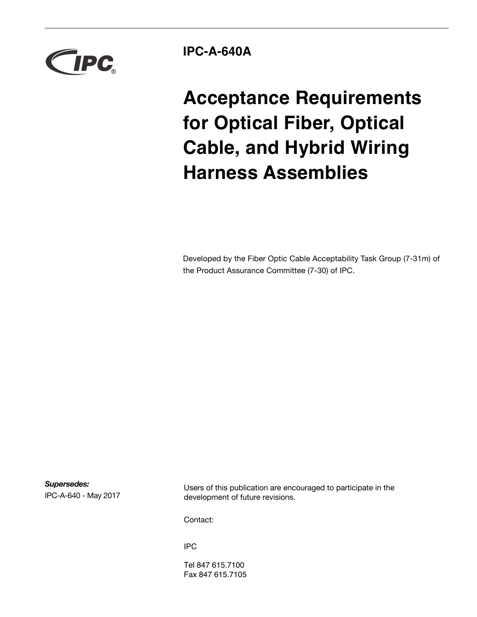

**IPC-A-640A**

**Acceptance Requirements for Optical Fiber, Optical Cable, and Hybrid Wiring Harness Assemblies**

Developed by the Fiber Optic Cable Acceptability Task Group (7-31m) of the Product Assurance Committee (7-30) of IPC.

*Supersedes:* IPC-A-640 - May 2017

Users of this publication are encouraged to participate in the development of future revisions.

Contact:

IPC

Tel 847 615.7100 Fax 847 615.7105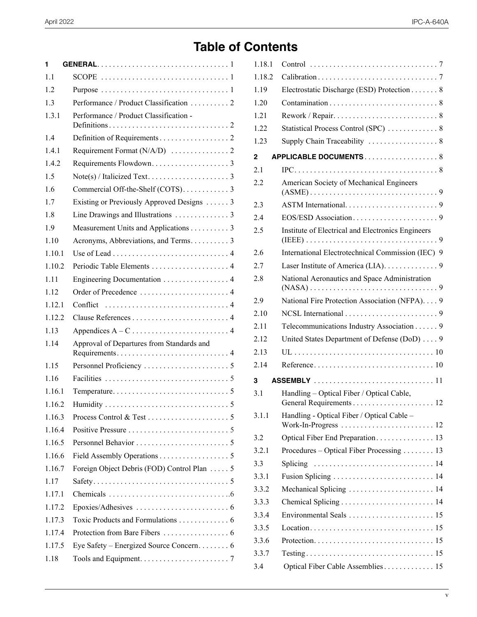# **Table of Contents**

| 1       |                                            |
|---------|--------------------------------------------|
| 1.1     |                                            |
| 1.2     |                                            |
| 1.3     | Performance / Product Classification 2     |
| 1.3.1   | Performance / Product Classification -     |
| 1.4     |                                            |
| 141     |                                            |
| 1.4.2   |                                            |
| 1.5     |                                            |
| 1.6     | Commercial Off-the-Shelf (COTS). 3         |
| 1.7     | Existing or Previously Approved Designs  3 |
| 1.8     |                                            |
| 1.9     | Measurement Units and Applications 3       |
| 1.10    |                                            |
| 1 10 1  |                                            |
| 1102    |                                            |
| 1.11    | Engineering Documentation 4                |
| 1.12    |                                            |
| 1.12.1  |                                            |
| 1.12.2  |                                            |
| 1.13    |                                            |
| 1.14    | Approval of Departures from Standards and  |
| 1.15    |                                            |
| 1.16    |                                            |
| 1 1 6 1 |                                            |
| 1.16.2  |                                            |
| 1.16.3  |                                            |
| 1.16.4  |                                            |
| 1.16.5  |                                            |
| 1.16.6  |                                            |
| 1.16.7  | Foreign Object Debris (FOD) Control Plan 5 |
| 1.17    |                                            |
| 1.17.1  |                                            |
| 1.17.2  |                                            |
| 1.17.3  | Toxic Products and Formulations 6          |
| 1.17.4  |                                            |
| 1.17.5  | Eye Safety – Energized Source Concern. 6   |
| 1.18    |                                            |

| 1.18.1       |                                                                                       |
|--------------|---------------------------------------------------------------------------------------|
| 1.18.2       |                                                                                       |
| 1.19         | Electrostatic Discharge (ESD) Protection 8                                            |
| 1.20         |                                                                                       |
| 1.21         |                                                                                       |
| 1.22         | Statistical Process Control (SPC)  8                                                  |
| 1.23         |                                                                                       |
| $\mathbf{2}$ | APPLICABLE DOCUMENTS8                                                                 |
| 2.1          | $IPC. \ldots \ldots \ldots \ldots \ldots \ldots \ldots \ldots \ldots \ldots \ldots 8$ |
| 2.2          | American Society of Mechanical Engineers                                              |
| 2.3          |                                                                                       |
| 2.4          |                                                                                       |
| 2.5          | Institute of Electrical and Electronics Engineers                                     |
| 2.6          | International Electrotechnical Commission (IEC) 9                                     |
| 2.7          | Laser Institute of America (LIA). 9                                                   |
| 2.8          | National Aeronautics and Space Administration                                         |
| 2.9          | National Fire Protection Association (NFPA). 9                                        |
| 2.10         |                                                                                       |
| 2.11         | Telecommunications Industry Association 9                                             |
| 2.12         | United States Department of Defense (DoD)  9                                          |
| 2.13         |                                                                                       |
| 2.14         |                                                                                       |
| 3            | ASSEMBLY 11                                                                           |
| 3.1          | Handling – Optical Fiber / Optical Cable,                                             |
| 3.1.1        | Handling - Optical Fiber / Optical Cable -                                            |
|              |                                                                                       |
| 3.2          |                                                                                       |
| 3.2.1        | Procedures – Optical Fiber Processing 13                                              |
| 3.3          |                                                                                       |
| 3.3.1        |                                                                                       |
| 3.3.2        | Mechanical Splicing  14                                                               |
| 3.3.3        |                                                                                       |
| 3.3.4        |                                                                                       |
| 3.3.5        |                                                                                       |
| 3.3.6        |                                                                                       |
| 3.3.7        |                                                                                       |
| 3.4          | Optical Fiber Cable Assemblies 15                                                     |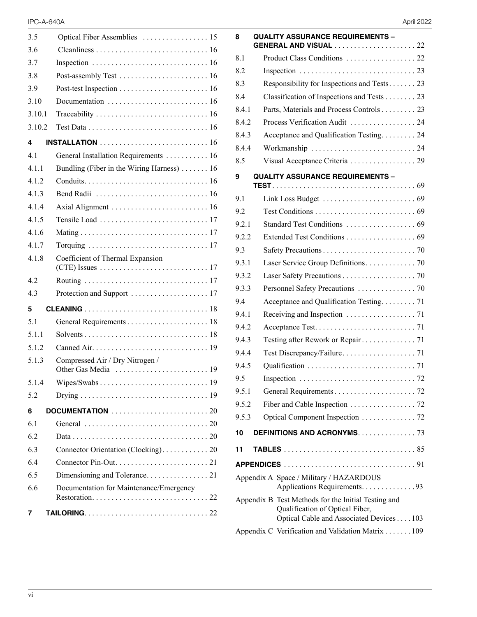| 3.5    |                                            |
|--------|--------------------------------------------|
| 3.6    |                                            |
| 3.7    |                                            |
| 3.8    |                                            |
| 3.9    |                                            |
| 3.10   |                                            |
| 3.10.1 |                                            |
| 3.10.2 |                                            |
| 4      | <b>INSTALLATION</b> 16                     |
| 41     | General Installation Requirements 16       |
| 4.1.1  | Bundling (Fiber in the Wiring Harness)  16 |
| 4.1.2  |                                            |
| 4.1.3  |                                            |
| 414    |                                            |
| 4.1.5  |                                            |
| 4.1.6  |                                            |
| 4.1.7  |                                            |
| 4.1.8  | Coefficient of Thermal Expansion           |
| 4.2    |                                            |
| 4.3    |                                            |
| 5      |                                            |
| 5.1    |                                            |
| 5.1.1  |                                            |
| 5.1.2  |                                            |
| 5.1.3  | Compressed Air / Dry Nitrogen /            |
| 5.1.4  |                                            |
| 5.2    |                                            |
| 6      |                                            |
| 6.1    |                                            |
| 6.2    |                                            |
| 6.3    | Connector Orientation (Clocking). 20       |
| 6.4    |                                            |
| 6.5    |                                            |
| 6.6    | Documentation for Maintenance/Emergency    |
| 7      |                                            |

| April 2022 |  |
|------------|--|
|            |  |

| 8     | <b>QUALITY ASSURANCE REQUIREMENTS -</b><br><b>GENERAL AND VISUAL</b> 22                |  |
|-------|----------------------------------------------------------------------------------------|--|
| 8.1   |                                                                                        |  |
| 8.2   |                                                                                        |  |
| 8.3   | Responsibility for Inspections and Tests 23                                            |  |
| 8.4   | Classification of Inspections and Tests 23                                             |  |
| 8.4.1 | Parts, Materials and Process Controls 23                                               |  |
| 8.4.2 | Process Verification Audit  24                                                         |  |
| 8.4.3 | Acceptance and Qualification Testing. 24                                               |  |
| 8.4.4 |                                                                                        |  |
| 8.5   |                                                                                        |  |
| 9     | <b>QUALITY ASSURANCE REQUIREMENTS -</b>                                                |  |
| 9.1   |                                                                                        |  |
| 9.2   |                                                                                        |  |
| 9.2.1 |                                                                                        |  |
| 9.2.2 | Extended Test Conditions 69                                                            |  |
| 9.3   |                                                                                        |  |
| 9.3.1 |                                                                                        |  |
| 9.3.2 |                                                                                        |  |
| 9.3.3 |                                                                                        |  |
| 9.4   | Acceptance and Qualification Testing71                                                 |  |
| 9.4.1 |                                                                                        |  |
| 9.4.2 |                                                                                        |  |
| 9.4.3 |                                                                                        |  |
| 9.4.4 |                                                                                        |  |
| 9.4.5 |                                                                                        |  |
| 9.5   |                                                                                        |  |
| 9.5.1 |                                                                                        |  |
| 9.5.2 | Fiber and Cable Inspection 72                                                          |  |
| 9.5.3 | Optical Component Inspection 72                                                        |  |
| 10    | DEFINITIONS AND ACRONYMS. 73                                                           |  |
| 11    |                                                                                        |  |
|       |                                                                                        |  |
|       | Appendix A Space / Military / HAZARDOUS<br>Applications Requirements. 93               |  |
|       | Appendix B Test Methods for the Initial Testing and<br>Qualification of Optical Fiber, |  |
|       | Optical Cable and Associated Devices 103                                               |  |
|       | Appendix C Verification and Validation Matrix 109                                      |  |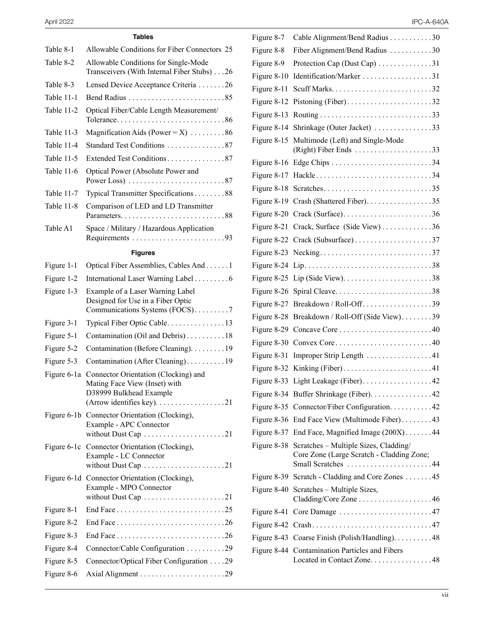#### **Tables**

| Table 8-1   | Allowable Conditions for Fiber Connectors 25                                                                                                                               |
|-------------|----------------------------------------------------------------------------------------------------------------------------------------------------------------------------|
| Table 8-2   | Allowable Conditions for Single-Mode<br>Transceivers (With Internal Fiber Stubs) 26                                                                                        |
| Table 8-3   | Lensed Device Acceptance Criteria 26                                                                                                                                       |
| Table 11-1  |                                                                                                                                                                            |
| Table 11-2  | Optical Fiber/Cable Length Measurement/                                                                                                                                    |
| Table 11-3  | Magnification Aids (Power = $X$ ) 86                                                                                                                                       |
| Table 11-4  |                                                                                                                                                                            |
| Table 11-5  | Extended Test Conditions 87                                                                                                                                                |
| Table 11-6  | Optical Power (Absolute Power and<br>Power Loss) $\ldots \ldots \ldots \ldots \ldots \ldots \ldots 87$                                                                     |
| Table 11-7  | Typical Transmitter Specifications 88                                                                                                                                      |
| Table 11-8  | Comparison of LED and LD Transmitter                                                                                                                                       |
| Table A1    | Space / Military / Hazardous Application                                                                                                                                   |
|             | <b>Figures</b>                                                                                                                                                             |
| Figure 1-1  | Optical Fiber Assemblies, Cables And 1                                                                                                                                     |
| Figure 1-2  | International Laser Warning Label 6                                                                                                                                        |
| Figure 1-3  | Example of a Laser Warning Label<br>Designed for Use in a Fiber Optic<br>Communications Systems (FOCS)7                                                                    |
| Figure 3-1  | Typical Fiber Optic Cable13                                                                                                                                                |
| Figure 5-1  | Contamination (Oil and Debris) 18                                                                                                                                          |
| Figure 5-2  | Contamination (Before Cleaning). 19                                                                                                                                        |
| Figure 5-3  | Contamination (After Cleaning). 19                                                                                                                                         |
| Figure 6-1a | Connector Orientation (Clocking) and<br>Mating Face View (Inset) with<br>D38999 Bulkhead Example<br>(Arrow identifies key). $\dots \dots \dots \dots \dots \dots \dots 21$ |
|             | Figure 6-1b Connector Orientation (Clocking),<br>Example - APC Connector                                                                                                   |
|             | Figure 6-1c Connector Orientation (Clocking),<br>Example - LC Connector<br>without Dust Cap 21                                                                             |
|             | Figure 6-1d Connector Orientation (Clocking),<br>Example - MPO Connector<br>without Dust Cap 21                                                                            |
| Figure 8-1  |                                                                                                                                                                            |
| Figure 8-2  |                                                                                                                                                                            |
| Figure 8-3  |                                                                                                                                                                            |
| Figure 8-4  | Connector/Cable Configuration 29                                                                                                                                           |
| Figure 8-5  | Connector/Optical Fiber Configuration 29                                                                                                                                   |
| Figure 8-6  |                                                                                                                                                                            |

| Figure 8-7    | Cable Alignment/Bend Radius 30                                                                           |
|---------------|----------------------------------------------------------------------------------------------------------|
| Figure 8-8    | Fiber Alignment/Bend Radius 30                                                                           |
| Figure 8-9    | Protection Cap (Dust Cap) 31                                                                             |
| Figure 8-10   | Identification/Marker 31                                                                                 |
| Figure 8-11   |                                                                                                          |
| Figure 8-12   | Pistoning (Fiber). $\dots \dots \dots \dots \dots \dots \dots \dots 32$                                  |
| Figure 8-13   |                                                                                                          |
| Figure 8-14   | Shrinkage (Outer Jacket) 33                                                                              |
| Figure 8-15   | Multimode (Left) and Single-Mode                                                                         |
| Figure 8-16   |                                                                                                          |
| Figure 8-17   | Hackle34                                                                                                 |
| Figure 8-18   |                                                                                                          |
| Figure 8-19   | Crash (Shattered Fiber). 35                                                                              |
| Figure 8-20   |                                                                                                          |
| Figure 8-21   | Crack, Surface (Side View)36                                                                             |
| Figure 8-22   | Crack (Subsurface)37                                                                                     |
| Figure 8-23   |                                                                                                          |
| Figure 8-24   |                                                                                                          |
| Figure 8-25   | Lip (Side View). $\dots \dots \dots \dots \dots \dots \dots \dots 38$                                    |
| Figure 8-26   |                                                                                                          |
| Figure 8-27   |                                                                                                          |
| Figure 8-28   | Breakdown / Roll-Off (Side View). 39                                                                     |
| Figure 8-29   |                                                                                                          |
| Figure 8-30   | Convex Core40                                                                                            |
| Figure 8-31   | Improper Strip Length 41                                                                                 |
| Figure 8-32   | Kinking (Fiber)41                                                                                        |
|               | Figure 8-33 Light Leakage (Fiber). 42                                                                    |
| Figure 8-34   | Buffer Shrinkage (Fiber). 42                                                                             |
| Figure 8-35   | Connector/Fiber Configuration. 42                                                                        |
| Figure 8-36   | End Face View (Multimode Fiber)43                                                                        |
| Figure 8-37   | End Face, Magnified Image (200X)44                                                                       |
| Figure 8-38   | Scratches – Multiple Sizes, Cladding/<br>Core Zone (Large Scratch - Cladding Zone;<br>Small Scratches 44 |
| Figure 8-39   | Scratch - Cladding and Core Zones 45                                                                     |
| Figure $8-40$ | Scratches – Multiple Sizes,<br>$Cladding / Core$ Zone $\dots \dots \dots \dots \dots \dots \dots 46$     |
| Figure 8-41   |                                                                                                          |
| Figure 8-42   |                                                                                                          |
| Figure 8-43   | Coarse Finish (Polish/Handling). 48                                                                      |
| Figure 8-44   | <b>Contamination Particles and Fibers</b><br>Located in Contact Zone48                                   |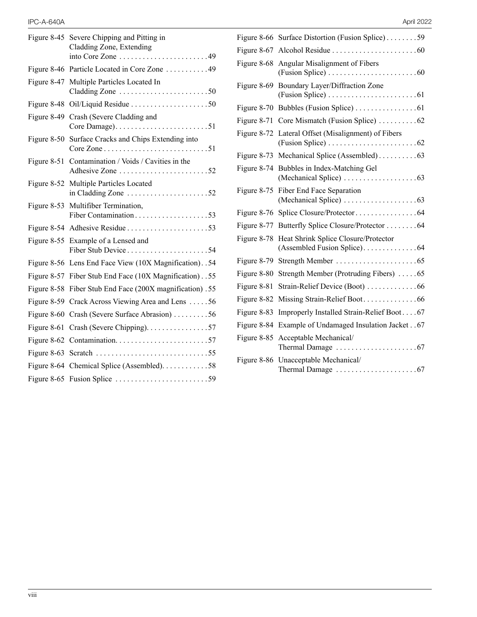| Figure $8-45$ | Severe Chipping and Pitting in<br>Cladding Zone, Extending<br>into Core Zone 49                           |
|---------------|-----------------------------------------------------------------------------------------------------------|
|               | Figure 8-46 Particle Located in Core Zone 49                                                              |
|               | Figure 8-47 Multiple Particles Located In<br>Cladding Zone 50                                             |
| Figure 8-48   |                                                                                                           |
| Figure 8-49   | Crash (Severe Cladding and                                                                                |
|               | Figure 8-50 Surface Cracks and Chips Extending into                                                       |
| Figure 8-51   | Contamination / Voids / Cavities in the<br>Adhesive Zone 52                                               |
|               | Figure 8-52 Multiple Particles Located<br>in Cladding Zone $\dots \dots \dots \dots \dots \dots \dots 52$ |
|               | Figure 8-53 Multifiber Termination,<br>Fiber Contamination53                                              |
|               |                                                                                                           |
|               | Figure 8-55 Example of a Lensed and                                                                       |
|               | Figure 8-56 Lens End Face View (10X Magnification). . 54                                                  |
|               | Figure 8-57 Fiber Stub End Face (10X Magnification). .55                                                  |
| Figure 8-58   | Fiber Stub End Face (200X magnification) .55                                                              |
|               | Figure 8-59 Crack Across Viewing Area and Lens 56                                                         |
|               | Figure 8-60 Crash (Severe Surface Abrasion) 56                                                            |
| Figure 8-61   | Crash (Severe Chipping). 57                                                                               |
| Figure $8-62$ | Contamination57                                                                                           |
|               |                                                                                                           |
|               | Figure 8-64 Chemical Splice (Assembled). 58                                                               |
|               |                                                                                                           |

|  | April 2022 |  |
|--|------------|--|
|  |            |  |

|             | Figure 8-66 Surface Distortion (Fusion Splice)59                                                                 |
|-------------|------------------------------------------------------------------------------------------------------------------|
| Figure 8-67 |                                                                                                                  |
| Figure 8-68 | Angular Misalignment of Fibers                                                                                   |
| Figure 8-69 | Boundary Layer/Diffraction Zone<br>$(Fusion Splice) \ldots \ldots \ldots \ldots \ldots \ldots \ldots 61$         |
| Figure 8-70 |                                                                                                                  |
| Figure 8-71 |                                                                                                                  |
| Figure 8-72 | Lateral Offset (Misalignment) of Fibers<br>(Fusion Splice) $\ldots \ldots \ldots \ldots \ldots \ldots \ldots 62$ |
| Figure 8-73 |                                                                                                                  |
| Figure 8-74 | Bubbles in Index-Matching Gel                                                                                    |
| Figure 8-75 | Fiber End Face Separation                                                                                        |
| Figure 8-76 |                                                                                                                  |
| Figure 8-77 | Butterfly Splice Closure/Protector 64                                                                            |
| Figure 8-78 | Heat Shrink Splice Closure/Protector                                                                             |
| Figure 8-79 |                                                                                                                  |
| Figure 8-80 | Strength Member (Protruding Fibers) 65                                                                           |
| Figure 8-81 | Strain-Relief Device (Boot) 66                                                                                   |
| Figure 8-82 | Missing Strain-Relief Boot66                                                                                     |
| Figure 8-83 | Improperly Installed Strain-Relief Boot67                                                                        |
| Figure 8-84 | Example of Undamaged Insulation Jacket 67                                                                        |
| Figure 8-85 | Acceptable Mechanical/                                                                                           |
| Figure 8-86 | Unacceptable Mechanical/                                                                                         |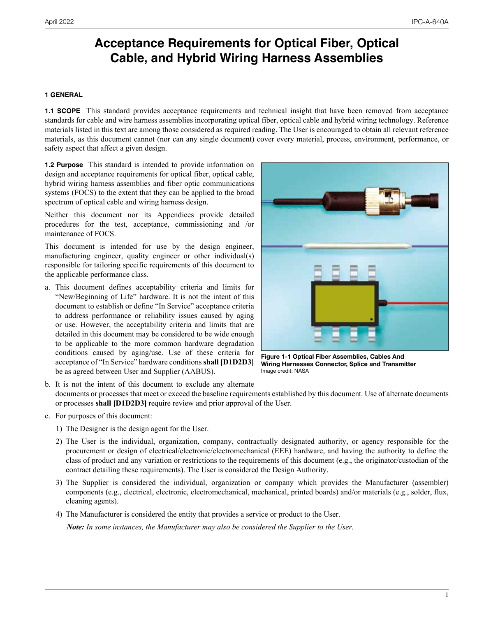# <span id="page-5-0"></span>**Acceptance Requirements for Optical Fiber, Optical Cable, and Hybrid Wiring Harness Assemblies**

## **1 GENERAL**

**1.1 SCOPE** This standard provides acceptance requirements and technical insight that have been removed from acceptance standards for cable and wire harness assemblies incorporating optical fiber, optical cable and hybrid wiring technology. Reference materials listed in this text are among those considered as required reading. The User is encouraged to obtain all relevant reference materials, as this document cannot (nor can any single document) cover every material, process, environment, performance, or safety aspect that affect a given design.

**1.2 Purpose** This standard is intended to provide information on design and acceptance requirements for optical fiber, optical cable, hybrid wiring harness assemblies and fiber optic communications systems (FOCS) to the extent that they can be applied to the broad spectrum of optical cable and wiring harness design.

Neither this document nor its Appendices provide detailed procedures for the test, acceptance, commissioning and /or maintenance of FOCS.

This document is intended for use by the design engineer, manufacturing engineer, quality engineer or other individual(s) responsible for tailoring specific requirements of this document to the applicable performance class.

a. This document defines acceptability criteria and limits for "New/Beginning of Life" hardware. It is not the intent of this document to establish or define "In Service" acceptance criteria to address performance or reliability issues caused by aging or use. However, the acceptability criteria and limits that are detailed in this document may be considered to be wide enough to be applicable to the more common hardware degradation conditions caused by aging/use. Use of these criteria for acceptance of "In Service" hardware conditions **shall [D1D2D3]** be as agreed between User and Supplier (AABUS).



**Figure 1-1 Optical Fiber Assemblies, Cables And Wiring Harnesses Connector, Splice and Transmitter** Image credit: NASA

b. It is not the intent of this document to exclude any alternate documents or processes that meet or exceed the baseline requirements established by this document. Use of alternate documents or processes **shall [D1D2D3]** require review and prior approval of the User.

- c. For purposes of this document:
	- 1) The Designer is the design agent for the User.
	- 2) The User is the individual, organization, company, contractually designated authority, or agency responsible for the procurement or design of electrical/electronic/electromechanical (EEE) hardware, and having the authority to define the class of product and any variation or restrictions to the requirements of this document (e.g., the originator/custodian of the contract detailing these requirements). The User is considered the Design Authority.
	- 3) The Supplier is considered the individual, organization or company which provides the Manufacturer (assembler) components (e.g., electrical, electronic, electromechanical, mechanical, printed boards) and/or materials (e.g., solder, flux, cleaning agents).
	- 4) The Manufacturer is considered the entity that provides a service or product to the User.

 *Note: In some instances, the Manufacturer may also be considered the Supplier to the User.*